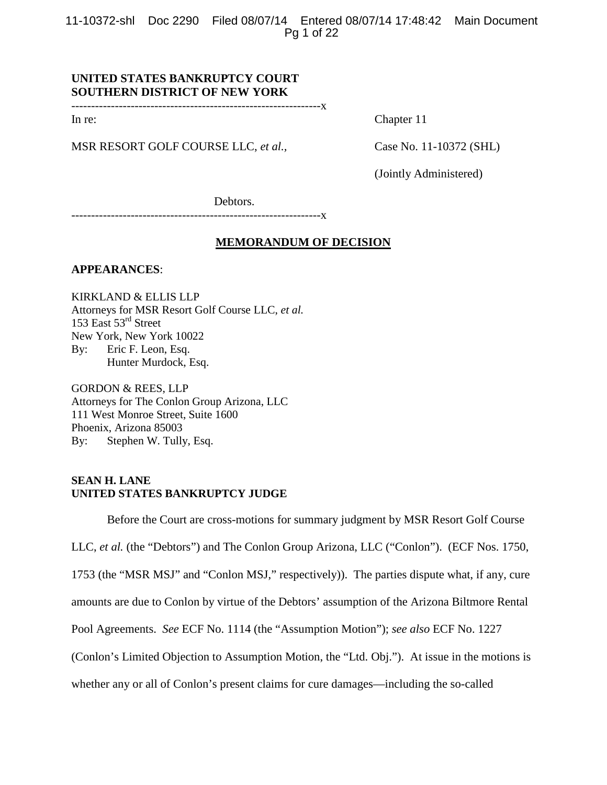11-10372-shl Doc 2290 Filed 08/07/14 Entered 08/07/14 17:48:42 Main Document Pg 1 of 22

# **UNITED STATES BANKRUPTCY COURT SOUTHERN DISTRICT OF NEW YORK**

---------------------------------------------------------------x

MSR RESORT GOLF COURSE LLC, *et al.*, Case No. 11-10372 (SHL)

In re: Chapter 11

(Jointly Administered)

Debtors.

---------------------------------------------------------------x

## **MEMORANDUM OF DECISION**

**APPEARANCES**:

KIRKLAND & ELLIS LLP Attorneys for MSR Resort Golf Course LLC, *et al.*  153 East 53rd Street New York, New York 10022 By: Eric F. Leon, Esq. Hunter Murdock, Esq.

GORDON & REES, LLP Attorneys for The Conlon Group Arizona, LLC 111 West Monroe Street, Suite 1600 Phoenix, Arizona 85003 By: Stephen W. Tully, Esq.

#### **SEAN H. LANE UNITED STATES BANKRUPTCY JUDGE**

Before the Court are cross-motions for summary judgment by MSR Resort Golf Course LLC, *et al.* (the "Debtors") and The Conlon Group Arizona, LLC ("Conlon"). (ECF Nos. 1750, 1753 (the "MSR MSJ" and "Conlon MSJ," respectively)). The parties dispute what, if any, cure amounts are due to Conlon by virtue of the Debtors' assumption of the Arizona Biltmore Rental Pool Agreements. *See* ECF No. 1114 (the "Assumption Motion"); *see also* ECF No. 1227 (Conlon's Limited Objection to Assumption Motion, the "Ltd. Obj."). At issue in the motions is whether any or all of Conlon's present claims for cure damages—including the so-called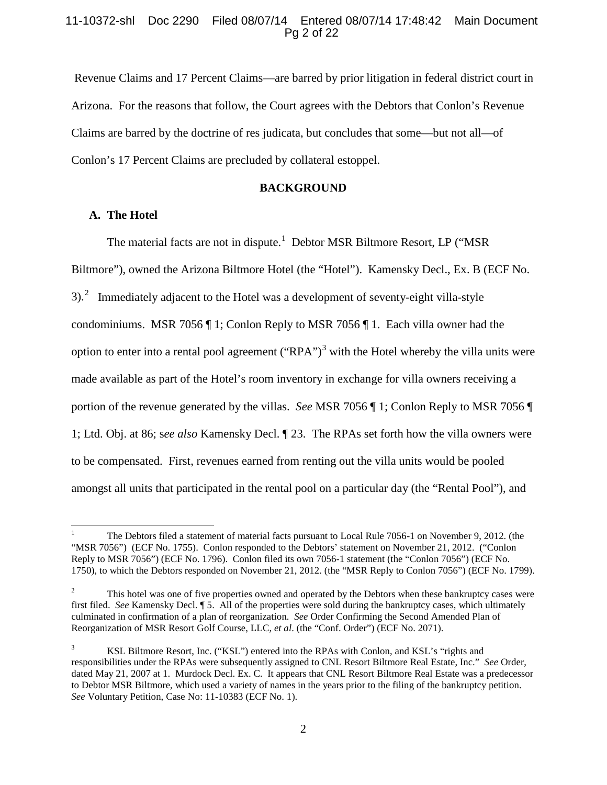## 11-10372-shl Doc 2290 Filed 08/07/14 Entered 08/07/14 17:48:42 Main Document Pg 2 of 22

Revenue Claims and 17 Percent Claims—are barred by prior litigation in federal district court in Arizona. For the reasons that follow, the Court agrees with the Debtors that Conlon's Revenue Claims are barred by the doctrine of res judicata, but concludes that some—but not all—of Conlon's 17 Percent Claims are precluded by collateral estoppel.

#### **BACKGROUND**

# **A. The Hotel**

The material facts are not in dispute.<sup>[1](#page-1-0)</sup> Debtor MSR Biltmore Resort, LP ("MSR Biltmore"), owned the Arizona Biltmore Hotel (the "Hotel"). Kamensky Decl., Ex. B (ECF No. 3). $^2$  $^2$  Immediately adjacent to the Hotel was a development of seventy-eight villa-style condominiums. MSR 7056 ¶ 1; Conlon Reply to MSR 7056 ¶ 1. Each villa owner had the option to enter into a rental pool agreement ("RPA")<sup>[3](#page-1-2)</sup> with the Hotel whereby the villa units were made available as part of the Hotel's room inventory in exchange for villa owners receiving a portion of the revenue generated by the villas. *See* MSR 7056 ¶ 1; Conlon Reply to MSR 7056 ¶ 1; Ltd. Obj. at 86; s*ee also* Kamensky Decl. ¶ 23. The RPAs set forth how the villa owners were to be compensated. First, revenues earned from renting out the villa units would be pooled amongst all units that participated in the rental pool on a particular day (the "Rental Pool"), and

<span id="page-1-0"></span><sup>&</sup>lt;sup>1</sup> The Debtors filed a statement of material facts pursuant to Local Rule 7056-1 on November 9, 2012. (the "MSR 7056") (ECF No. 1755). Conlon responded to the Debtors' statement on November 21, 2012. ("Conlon Reply to MSR 7056") (ECF No. 1796). Conlon filed its own 7056-1 statement (the "Conlon 7056") (ECF No. 1750), to which the Debtors responded on November 21, 2012. (the "MSR Reply to Conlon 7056") (ECF No. 1799).

<span id="page-1-1"></span><sup>&</sup>lt;sup>2</sup> This hotel was one of five properties owned and operated by the Debtors when these bankruptcy cases were first filed. *See* Kamensky Decl. ¶ 5. All of the properties were sold during the bankruptcy cases, which ultimately culminated in confirmation of a plan of reorganization. *See* Order Confirming the Second Amended Plan of Reorganization of MSR Resort Golf Course, LLC, *et al*. (the "Conf. Order") (ECF No. 2071).

<span id="page-1-2"></span><sup>&</sup>lt;sup>3</sup> KSL Biltmore Resort, Inc. ("KSL") entered into the RPAs with Conlon, and KSL's "rights and responsibilities under the RPAs were subsequently assigned to CNL Resort Biltmore Real Estate, Inc." *See* Order, dated May 21, 2007 at 1. Murdock Decl. Ex. C. It appears that CNL Resort Biltmore Real Estate was a predecessor to Debtor MSR Biltmore, which used a variety of names in the years prior to the filing of the bankruptcy petition. *See* Voluntary Petition, Case No: 11-10383 (ECF No. 1).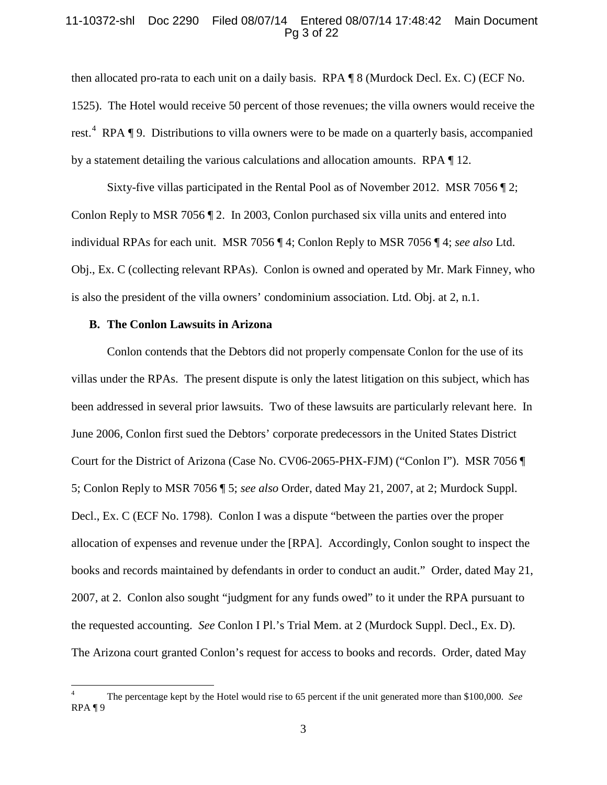#### 11-10372-shl Doc 2290 Filed 08/07/14 Entered 08/07/14 17:48:42 Main Document Pg 3 of 22

then allocated pro-rata to each unit on a daily basis. RPA ¶ 8 (Murdock Decl. Ex. C) (ECF No. 1525). The Hotel would receive 50 percent of those revenues; the villa owners would receive the rest.<sup>[4](#page-2-0)</sup> RPA  $\P$  9. Distributions to villa owners were to be made on a quarterly basis, accompanied by a statement detailing the various calculations and allocation amounts. RPA ¶ 12.

Sixty-five villas participated in the Rental Pool as of November 2012. MSR 7056 ¶ 2; Conlon Reply to MSR 7056 ¶ 2. In 2003, Conlon purchased six villa units and entered into individual RPAs for each unit. MSR 7056 ¶ 4; Conlon Reply to MSR 7056 ¶ 4; *see also* Ltd. Obj., Ex. C (collecting relevant RPAs). Conlon is owned and operated by Mr. Mark Finney, who is also the president of the villa owners' condominium association. Ltd. Obj. at 2, n.1.

#### **B. The Conlon Lawsuits in Arizona**

Conlon contends that the Debtors did not properly compensate Conlon for the use of its villas under the RPAs. The present dispute is only the latest litigation on this subject, which has been addressed in several prior lawsuits. Two of these lawsuits are particularly relevant here. In June 2006, Conlon first sued the Debtors' corporate predecessors in the United States District Court for the District of Arizona (Case No. CV06-2065-PHX-FJM) ("Conlon I"). MSR 7056 ¶ 5; Conlon Reply to MSR 7056 ¶ 5; *see also* Order, dated May 21, 2007, at 2; Murdock Suppl. Decl., Ex. C (ECF No. 1798). Conlon I was a dispute "between the parties over the proper allocation of expenses and revenue under the [RPA]. Accordingly, Conlon sought to inspect the books and records maintained by defendants in order to conduct an audit."Order, dated May 21, 2007, at 2. Conlon also sought "judgment for any funds owed" to it under the RPA pursuant to the requested accounting. *See* Conlon I Pl.'s Trial Mem. at 2 (Murdock Suppl. Decl., Ex. D). The Arizona court granted Conlon's request for access to books and records. Order, dated May

<span id="page-2-0"></span><sup>4</sup> The percentage kept by the Hotel would rise to 65 percent if the unit generated more than \$100,000. *See* RPA ¶ 9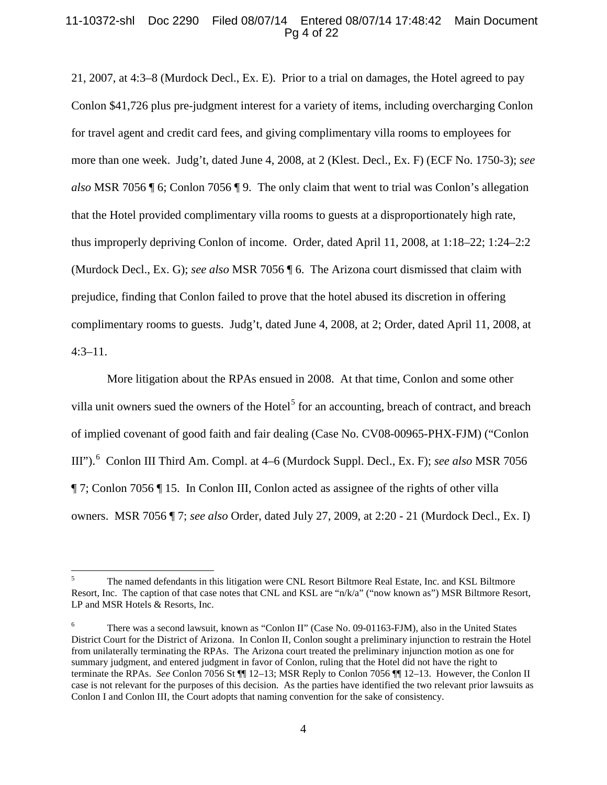## 11-10372-shl Doc 2290 Filed 08/07/14 Entered 08/07/14 17:48:42 Main Document Pg 4 of 22

21, 2007, at 4:3–8 (Murdock Decl., Ex. E). Prior to a trial on damages, the Hotel agreed to pay Conlon \$41,726 plus pre-judgment interest for a variety of items, including overcharging Conlon for travel agent and credit card fees, and giving complimentary villa rooms to employees for more than one week. Judg't, dated June 4, 2008, at 2 (Klest. Decl., Ex. F) (ECF No. 1750-3); *see also* MSR 7056 ¶ 6; Conlon 7056 ¶ 9. The only claim that went to trial was Conlon's allegation that the Hotel provided complimentary villa rooms to guests at a disproportionately high rate, thus improperly depriving Conlon of income. Order, dated April 11, 2008, at 1:18–22; 1:24–2:2 (Murdock Decl., Ex. G); *see also* MSR 7056 ¶ 6. The Arizona court dismissed that claim with prejudice, finding that Conlon failed to prove that the hotel abused its discretion in offering complimentary rooms to guests. Judg't, dated June 4, 2008, at 2; Order, dated April 11, 2008, at 4:3–11.

More litigation about the RPAs ensued in 2008. At that time, Conlon and some other villa unit owners sued the owners of the Hotel<sup>[5](#page-3-0)</sup> for an accounting, breach of contract, and breach of implied covenant of good faith and fair dealing (Case No. CV08-00965-PHX-FJM) ("Conlon III"). [6](#page-3-1) Conlon III Third Am. Compl. at 4–6 (Murdock Suppl. Decl., Ex. F); *see also* MSR 7056 ¶ 7; Conlon 7056 ¶ 15. In Conlon III, Conlon acted as assignee of the rights of other villa owners. MSR 7056 ¶ 7; *see also* Order, dated July 27, 2009, at 2:20 - 21 (Murdock Decl., Ex. I)

<span id="page-3-0"></span><sup>&</sup>lt;sup>5</sup> The named defendants in this litigation were CNL Resort Biltmore Real Estate, Inc. and KSL Biltmore Resort, Inc. The caption of that case notes that CNL and KSL are "n/k/a" ("now known as") MSR Biltmore Resort, LP and MSR Hotels & Resorts, Inc.

<span id="page-3-1"></span><sup>6</sup> There was a second lawsuit, known as "Conlon II" (Case No. 09-01163-FJM), also in the United States District Court for the District of Arizona. In Conlon II, Conlon sought a preliminary injunction to restrain the Hotel from unilaterally terminating the RPAs. The Arizona court treated the preliminary injunction motion as one for summary judgment, and entered judgment in favor of Conlon, ruling that the Hotel did not have the right to terminate the RPAs. *See* Conlon 7056 St ¶¶ 12–13; MSR Reply to Conlon 7056 ¶¶ 12–13. However, the Conlon II case is not relevant for the purposes of this decision. As the parties have identified the two relevant prior lawsuits as Conlon I and Conlon III, the Court adopts that naming convention for the sake of consistency.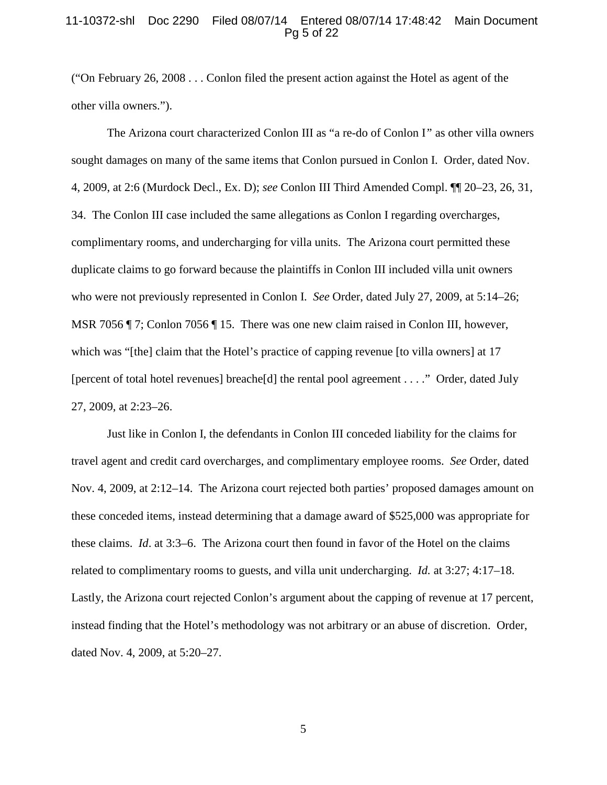#### 11-10372-shl Doc 2290 Filed 08/07/14 Entered 08/07/14 17:48:42 Main Document Pg 5 of 22

("On February 26, 2008 . . . Conlon filed the present action against the Hotel as agent of the other villa owners.").

The Arizona court characterized Conlon III as "a re-do of Conlon I*"* as other villa owners sought damages on many of the same items that Conlon pursued in Conlon I. Order, dated Nov. 4, 2009, at 2:6 (Murdock Decl., Ex. D); *see* Conlon III Third Amended Compl. ¶¶ 20–23, 26, 31, 34. The Conlon III case included the same allegations as Conlon I regarding overcharges, complimentary rooms, and undercharging for villa units. The Arizona court permitted these duplicate claims to go forward because the plaintiffs in Conlon III included villa unit owners who were not previously represented in Conlon I. *See* Order, dated July 27, 2009, at 5:14–26; MSR 7056 ¶ 7; Conlon 7056 ¶ 15. There was one new claim raised in Conlon III, however, which was "[the] claim that the Hotel's practice of capping revenue [to villa owners] at 17 [percent of total hotel revenues] breache[d] the rental pool agreement . . . ." Order, dated July 27, 2009, at 2:23–26.

Just like in Conlon I, the defendants in Conlon III conceded liability for the claims for travel agent and credit card overcharges, and complimentary employee rooms. *See* Order, dated Nov. 4, 2009, at 2:12–14. The Arizona court rejected both parties' proposed damages amount on these conceded items, instead determining that a damage award of \$525,000 was appropriate for these claims. *Id*. at 3:3–6. The Arizona court then found in favor of the Hotel on the claims related to complimentary rooms to guests, and villa unit undercharging. *Id.* at 3:27; 4:17–18. Lastly, the Arizona court rejected Conlon's argument about the capping of revenue at 17 percent, instead finding that the Hotel's methodology was not arbitrary or an abuse of discretion. Order, dated Nov. 4, 2009, at 5:20–27.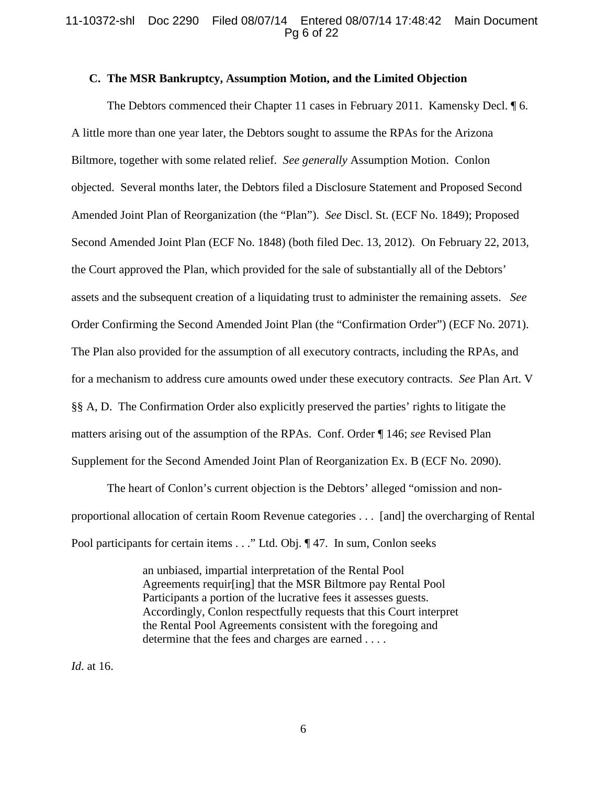## 11-10372-shl Doc 2290 Filed 08/07/14 Entered 08/07/14 17:48:42 Main Document Pg 6 of 22

#### **C. The MSR Bankruptcy, Assumption Motion, and the Limited Objection**

The Debtors commenced their Chapter 11 cases in February 2011. Kamensky Decl. 16. A little more than one year later, the Debtors sought to assume the RPAs for the Arizona Biltmore, together with some related relief. *See generally* Assumption Motion. Conlon objected. Several months later, the Debtors filed a Disclosure Statement and Proposed Second Amended Joint Plan of Reorganization (the "Plan"). *See* Discl. St. (ECF No. 1849); Proposed Second Amended Joint Plan (ECF No. 1848) (both filed Dec. 13, 2012). On February 22, 2013, the Court approved the Plan, which provided for the sale of substantially all of the Debtors' assets and the subsequent creation of a liquidating trust to administer the remaining assets. *See*  Order Confirming the Second Amended Joint Plan (the "Confirmation Order") (ECF No. 2071). The Plan also provided for the assumption of all executory contracts, including the RPAs, and for a mechanism to address cure amounts owed under these executory contracts. *See* Plan Art. V §§ A, D. The Confirmation Order also explicitly preserved the parties' rights to litigate the matters arising out of the assumption of the RPAs. Conf. Order ¶ 146; *see* Revised Plan Supplement for the Second Amended Joint Plan of Reorganization Ex. B (ECF No. 2090).

 The heart of Conlon's current objection is the Debtors' alleged "omission and nonproportional allocation of certain Room Revenue categories . . . [and] the overcharging of Rental Pool participants for certain items . . ." Ltd. Obj. ¶ 47. In sum, Conlon seeks

> an unbiased, impartial interpretation of the Rental Pool Agreements requir[ing] that the MSR Biltmore pay Rental Pool Participants a portion of the lucrative fees it assesses guests. Accordingly, Conlon respectfully requests that this Court interpret the Rental Pool Agreements consistent with the foregoing and determine that the fees and charges are earned . . . .

*Id*. at 16.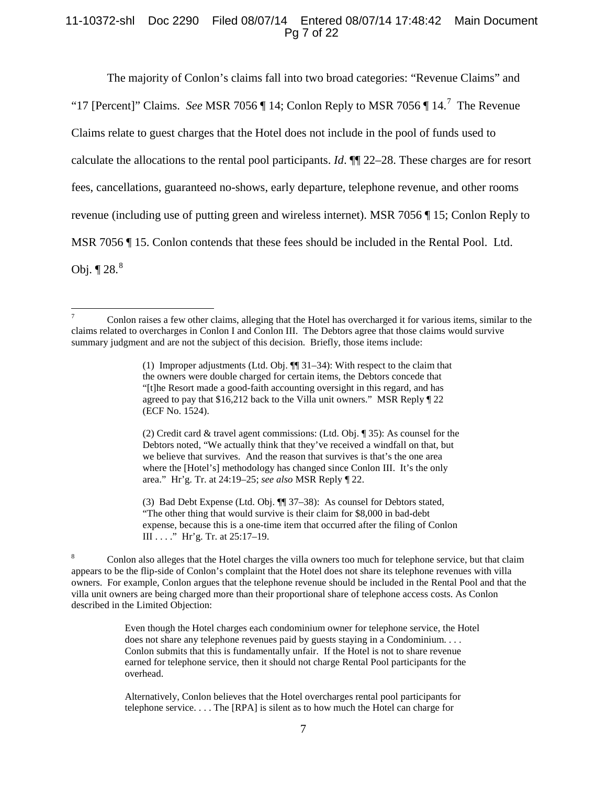## 11-10372-shl Doc 2290 Filed 08/07/14 Entered 08/07/14 17:48:42 Main Document Pg 7 of 22

The majority of Conlon's claims fall into two broad categories: "Revenue Claims" and "1[7](#page-6-0) [Percent]" Claims. *See* MSR 7056  $\P$  14; Conlon Reply to MSR 7056  $\P$  14.<sup>7</sup> The Revenue Claims relate to guest charges that the Hotel does not include in the pool of funds used to calculate the allocations to the rental pool participants. *Id*. ¶¶ 22–28. These charges are for resort fees, cancellations, guaranteed no-shows, early departure, telephone revenue, and other rooms revenue (including use of putting green and wireless internet). MSR 7056 ¶ 15; Conlon Reply to MSR 7056 ¶ 15. Conlon contends that these fees should be included in the Rental Pool. Ltd. Obj.  $\P 28.<sup>8</sup>$  $\P 28.<sup>8</sup>$  $\P 28.<sup>8</sup>$ 

(2) Credit card & travel agent commissions: (Ltd. Obj. ¶ 35): As counsel for the Debtors noted, "We actually think that they've received a windfall on that, but we believe that survives. And the reason that survives is that's the one area where the [Hotel's] methodology has changed since Conlon III. It's the only area." Hr'g. Tr. at 24:19–25; *see also* MSR Reply ¶ 22.

(3) Bad Debt Expense (Ltd. Obj. ¶¶ 37–38): As counsel for Debtors stated, "The other thing that would survive is their claim for \$8,000 in bad-debt expense, because this is a one-time item that occurred after the filing of Conlon III . . . ." Hr'g. Tr. at 25:17–19.

<span id="page-6-1"></span><sup>8</sup> Conlon also alleges that the Hotel charges the villa owners too much for telephone service, but that claim appears to be the flip-side of Conlon's complaint that the Hotel does not share its telephone revenues with villa owners. For example, Conlon argues that the telephone revenue should be included in the Rental Pool and that the villa unit owners are being charged more than their proportional share of telephone access costs. As Conlon described in the Limited Objection:

> Even though the Hotel charges each condominium owner for telephone service, the Hotel does not share any telephone revenues paid by guests staying in a Condominium. . . . Conlon submits that this is fundamentally unfair. If the Hotel is not to share revenue earned for telephone service, then it should not charge Rental Pool participants for the overhead.

Alternatively, Conlon believes that the Hotel overcharges rental pool participants for telephone service. . . . The [RPA] is silent as to how much the Hotel can charge for

<span id="page-6-0"></span><sup>&</sup>lt;sup>7</sup> Conlon raises a few other claims, alleging that the Hotel has overcharged it for various items, similar to the claims related to overcharges in Conlon I and Conlon III. The Debtors agree that those claims would survive summary judgment and are not the subject of this decision. Briefly, those items include:

<sup>(1)</sup> Improper adjustments (Ltd. Obj. ¶¶ 31–34): With respect to the claim that the owners were double charged for certain items, the Debtors concede that "[t]he Resort made a good-faith accounting oversight in this regard, and has agreed to pay that \$16,212 back to the Villa unit owners." MSR Reply ¶ 22 (ECF No. 1524).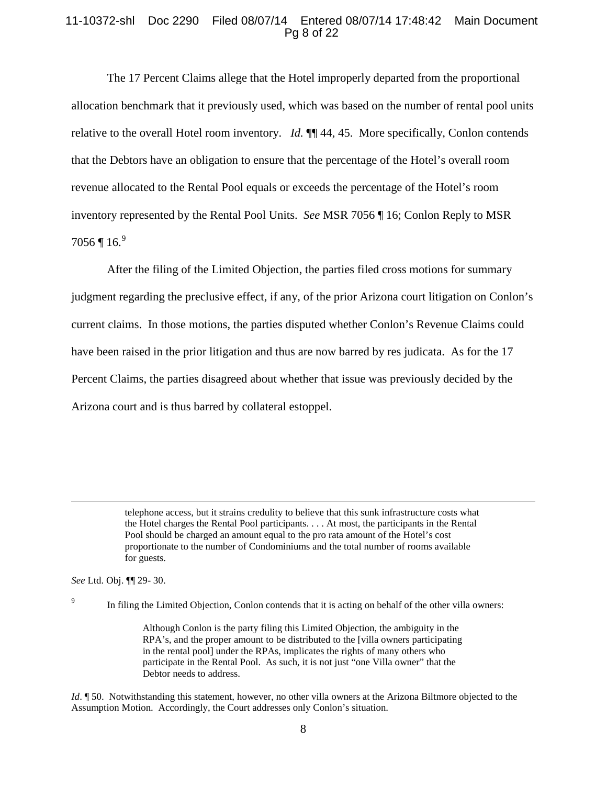## 11-10372-shl Doc 2290 Filed 08/07/14 Entered 08/07/14 17:48:42 Main Document Pg 8 of 22

The 17 Percent Claims allege that the Hotel improperly departed from the proportional allocation benchmark that it previously used, which was based on the number of rental pool units relative to the overall Hotel room inventory. *Id.* ¶¶ 44, 45. More specifically, Conlon contends that the Debtors have an obligation to ensure that the percentage of the Hotel's overall room revenue allocated to the Rental Pool equals or exceeds the percentage of the Hotel's room inventory represented by the Rental Pool Units. *See* MSR 7056 ¶ 16; Conlon Reply to MSR  $7056$  ¶  $16.<sup>9</sup>$  $16.<sup>9</sup>$  $16.<sup>9</sup>$ 

After the filing of the Limited Objection, the parties filed cross motions for summary judgment regarding the preclusive effect, if any, of the prior Arizona court litigation on Conlon's current claims. In those motions, the parties disputed whether Conlon's Revenue Claims could have been raised in the prior litigation and thus are now barred by res judicata. As for the 17 Percent Claims, the parties disagreed about whether that issue was previously decided by the Arizona court and is thus barred by collateral estoppel.

<span id="page-7-0"></span>*See* Ltd. Obj. ¶¶ 29- 30.

 $\overline{\phantom{a}}$ 

In filing the Limited Objection, Conlon contends that it is acting on behalf of the other villa owners:

Although Conlon is the party filing this Limited Objection, the ambiguity in the RPA's, and the proper amount to be distributed to the [villa owners participating in the rental pool] under the RPAs, implicates the rights of many others who participate in the Rental Pool. As such, it is not just "one Villa owner" that the Debtor needs to address.

*Id*. ¶ 50. Notwithstanding this statement, however, no other villa owners at the Arizona Biltmore objected to the Assumption Motion. Accordingly, the Court addresses only Conlon's situation.

telephone access, but it strains credulity to believe that this sunk infrastructure costs what the Hotel charges the Rental Pool participants. . . . At most, the participants in the Rental Pool should be charged an amount equal to the pro rata amount of the Hotel's cost proportionate to the number of Condominiums and the total number of rooms available for guests.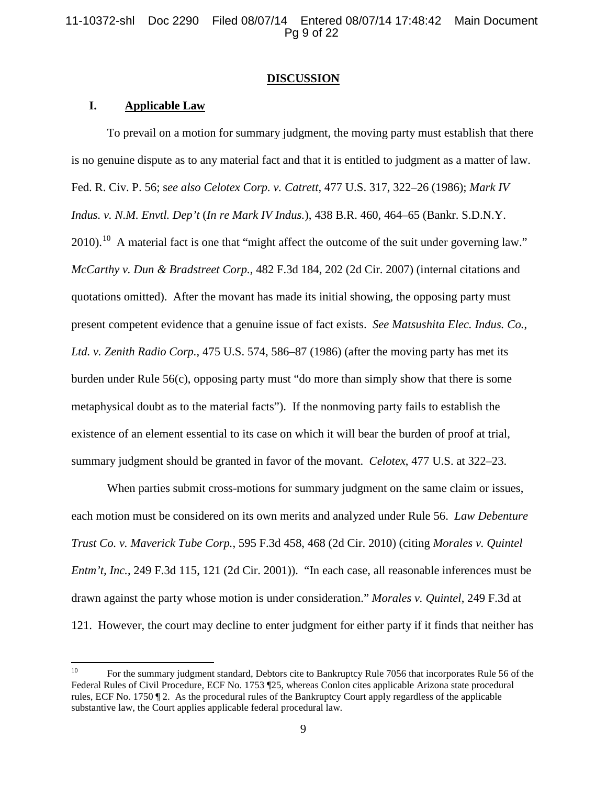11-10372-shl Doc 2290 Filed 08/07/14 Entered 08/07/14 17:48:42 Main Document Pg 9 of 22

#### **DISCUSSION**

# **I. Applicable Law**

To prevail on a motion for summary judgment, the moving party must establish that there is no genuine dispute as to any material fact and that it is entitled to judgment as a matter of law. Fed. R. Civ. P. 56; s*ee also Celotex Corp. v. Catrett*, 477 U.S. 317, 322–26 (1986); *Mark IV Indus. v. N.M. Envtl. Dep't* (*In re Mark IV Indus.*), 438 B.R. 460, 464–65 (Bankr. S.D.N.Y.  $2010$ .<sup>10</sup> A material fact is one that "might affect the outcome of the suit under governing law." *McCarthy v. Dun & Bradstreet Corp.*, 482 F.3d 184, 202 (2d Cir. 2007) (internal citations and quotations omitted). After the movant has made its initial showing, the opposing party must present competent evidence that a genuine issue of fact exists. *See Matsushita Elec. Indus. Co.*, *Ltd. v. Zenith Radio Corp.*, 475 U.S. 574, 586–87 (1986) (after the moving party has met its burden under Rule 56(c), opposing party must "do more than simply show that there is some metaphysical doubt as to the material facts"). If the nonmoving party fails to establish the existence of an element essential to its case on which it will bear the burden of proof at trial, summary judgment should be granted in favor of the movant. *Celotex*, 477 U.S. at 322–23.

When parties submit cross-motions for summary judgment on the same claim or issues, each motion must be considered on its own merits and analyzed under Rule 56. *Law Debenture Trust Co. v. Maverick Tube Corp.*, 595 F.3d 458, 468 (2d Cir. 2010) (citing *Morales v. Quintel Entm't, Inc.*, 249 F.3d 115, 121 (2d Cir. 2001)). "In each case, all reasonable inferences must be drawn against the party whose motion is under consideration." *Morales v. Quintel*, 249 F.3d at 121. However, the court may decline to enter judgment for either party if it finds that neither has

<span id="page-8-0"></span><sup>&</sup>lt;sup>10</sup> For the summary judgment standard, Debtors cite to Bankruptcy Rule 7056 that incorporates Rule 56 of the Federal Rules of Civil Procedure, ECF No. 1753 ¶25, whereas Conlon cites applicable Arizona state procedural rules, ECF No. 1750 ¶ 2. As the procedural rules of the Bankruptcy Court apply regardless of the applicable substantive law, the Court applies applicable federal procedural law.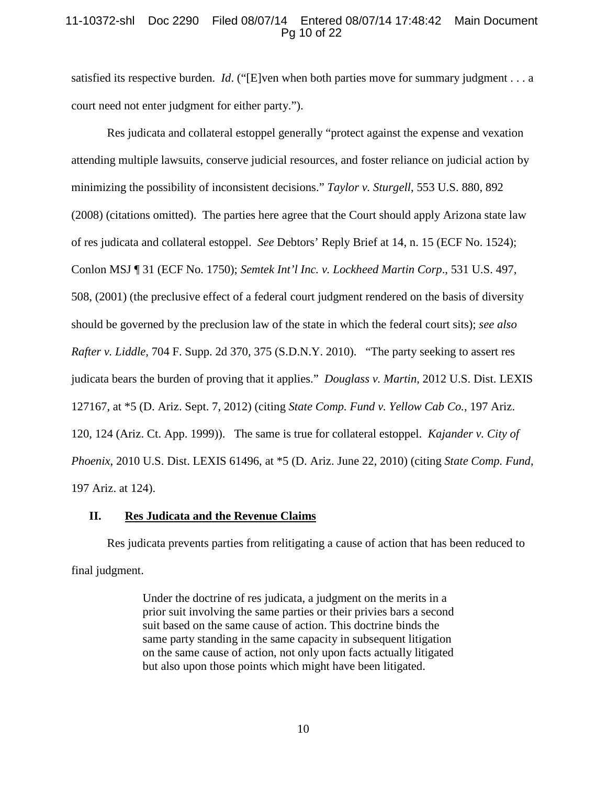# 11-10372-shl Doc 2290 Filed 08/07/14 Entered 08/07/14 17:48:42 Main Document Pg 10 of 22

satisfied its respective burden. *Id*. ("[E]ven when both parties move for summary judgment . . . a court need not enter judgment for either party.").

Res judicata and collateral estoppel generally "protect against the expense and vexation attending multiple lawsuits, conserve judicial resources, and foster reliance on judicial action by minimizing the possibility of inconsistent decisions." *Taylor v. Sturgell*, 553 U.S. 880, 892 (2008) (citations omitted). The parties here agree that the Court should apply Arizona state law of res judicata and collateral estoppel. *See* Debtors' Reply Brief at 14, n. 15 (ECF No. 1524); Conlon MSJ ¶ 31 (ECF No. 1750); *Semtek Int'l Inc. v. Lockheed Martin Corp*., 531 U.S. 497, 508, (2001) (the preclusive effect of a federal court judgment rendered on the basis of diversity should be governed by the preclusion law of the state in which the federal court sits); *see also Rafter v. Liddle,* 704 F. Supp. 2d 370, 375 (S.D.N.Y. 2010). "The party seeking to assert res judicata bears the burden of proving that it applies." *Douglass v. Martin*, 2012 U.S. Dist. LEXIS 127167, at \*5 (D. Ariz. Sept. 7, 2012) (citing *State Comp. Fund v. Yellow Cab Co.*, 197 Ariz. 120, 124 (Ariz. Ct. App. 1999)). The same is true for collateral estoppel. *Kajander v. City of Phoenix*, 2010 U.S. Dist. LEXIS 61496, at \*5 (D. Ariz. June 22, 2010) (citing *State Comp. Fund*, 197 Ariz. at 124).

### **II. Res Judicata and the Revenue Claims**

Res judicata prevents parties from relitigating a cause of action that has been reduced to final judgment.

> Under the doctrine of res judicata, a judgment on the merits in a prior suit involving the same parties or their privies bars a second suit based on the same cause of action. This doctrine binds the same party standing in the same capacity in subsequent litigation on the same cause of action, not only upon facts actually litigated but also upon those points which might have been litigated.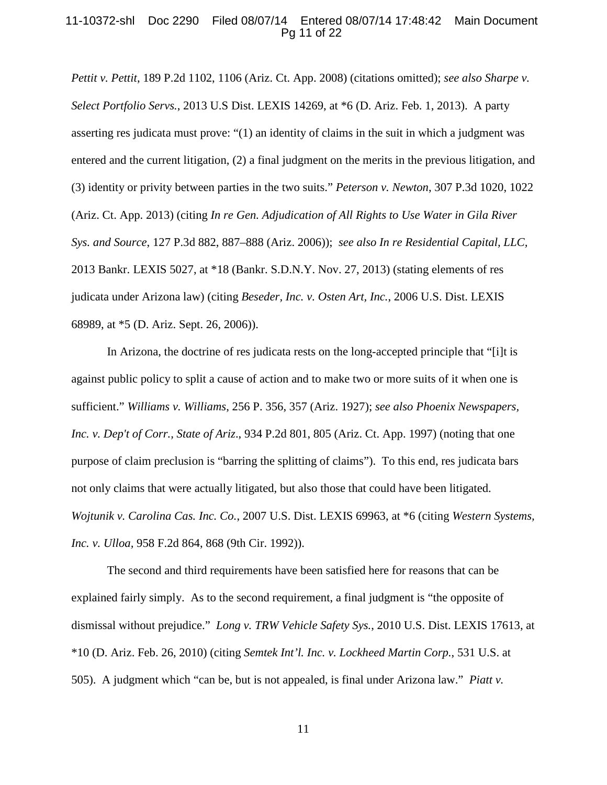#### 11-10372-shl Doc 2290 Filed 08/07/14 Entered 08/07/14 17:48:42 Main Document Pg 11 of 22

*Pettit v. Pettit*, 189 P.2d 1102, 1106 (Ariz. Ct. App. 2008) (citations omitted); *see also Sharpe v. Select Portfolio Servs.*, 2013 U.S Dist. LEXIS 14269, at \*6 (D. Ariz. Feb. 1, 2013). A party asserting res judicata must prove: "(1) an identity of claims in the suit in which a judgment was entered and the current litigation, (2) a final judgment on the merits in the previous litigation, and (3) identity or privity between parties in the two suits." *Peterson v. Newton*, 307 P.3d 1020, 1022 (Ariz. Ct. App. 2013) (citing *In re Gen. Adjudication of All Rights to Use Water in Gila River Sys. and Source*, 127 P.3d 882, 887–888 (Ariz. 2006)); *see also In re Residential Capital, LLC,*  2013 Bankr. LEXIS 5027, at \*18 (Bankr. S.D.N.Y. Nov. 27, 2013) (stating elements of res judicata under Arizona law) (citing *Beseder, Inc. v. Osten Art, Inc.*, 2006 U.S. Dist. LEXIS 68989, at \*5 (D. Ariz. Sept. 26, 2006)).

In Arizona, the doctrine of res judicata rests on the long-accepted principle that "[i]t is against public policy to split a cause of action and to make two or more suits of it when one is sufficient." *Williams v. Williams*, 256 P. 356, 357 (Ariz. 1927); *see also Phoenix Newspapers, Inc. v. Dep't of Corr., State of Ariz*., 934 P.2d 801, 805 (Ariz. Ct. App. 1997) (noting that one purpose of claim preclusion is "barring the splitting of claims"). To this end, res judicata bars not only claims that were actually litigated, but also those that could have been litigated. *Wojtunik v. Carolina Cas. Inc. Co.*, 2007 U.S. Dist. LEXIS 69963, at \*6 (citing *Western Systems, Inc. v. Ulloa,* 958 F.2d 864, 868 (9th Cir. 1992)).

The second and third requirements have been satisfied here for reasons that can be explained fairly simply. As to the second requirement, a final judgment is "the opposite of dismissal without prejudice." *Long v. TRW Vehicle Safety Sys.*, 2010 U.S. Dist. LEXIS 17613, at \*10 (D. Ariz. Feb. 26, 2010) (citing *Semtek Int'l. Inc. v. Lockheed Martin Corp.*, 531 U.S. at 505). A judgment which "can be, but is not appealed, is final under Arizona law." *Piatt v.*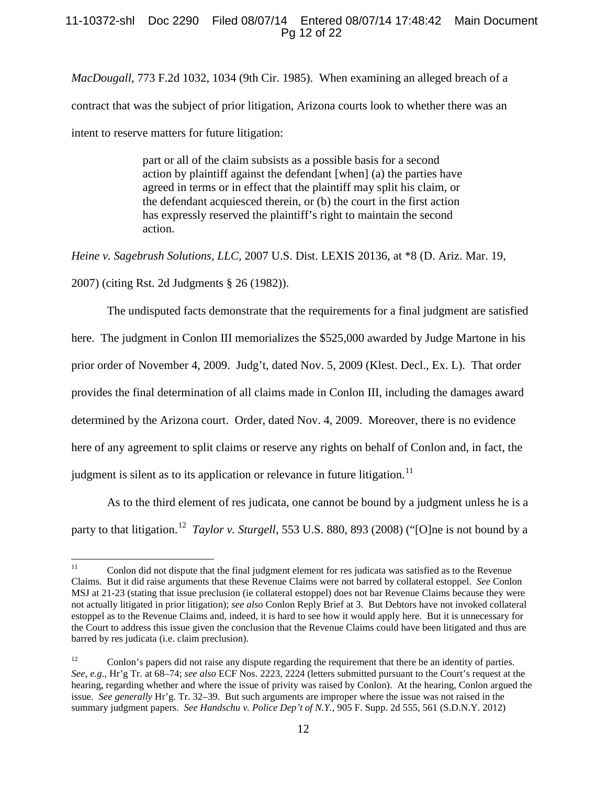# 11-10372-shl Doc 2290 Filed 08/07/14 Entered 08/07/14 17:48:42 Main Document Pg 12 of 22

*MacDougall*, 773 F.2d 1032, 1034 (9th Cir. 1985). When examining an alleged breach of a contract that was the subject of prior litigation, Arizona courts look to whether there was an intent to reserve matters for future litigation:

> part or all of the claim subsists as a possible basis for a second action by plaintiff against the defendant [when] (a) the parties have agreed in terms or in effect that the plaintiff may split his claim, or the defendant acquiesced therein, or (b) the court in the first action has expressly reserved the plaintiff's right to maintain the second action.

*Heine v. Sagebrush Solutions, LLC,* 2007 U.S. Dist. LEXIS 20136, at \*8 (D. Ariz. Mar. 19,

2007) (citing Rst. 2d Judgments § 26 (1982)).

The undisputed facts demonstrate that the requirements for a final judgment are satisfied

here. The judgment in Conlon III memorializes the \$525,000 awarded by Judge Martone in his

prior order of November 4, 2009. Judg't, dated Nov. 5, 2009 (Klest. Decl., Ex. L). That order

provides the final determination of all claims made in Conlon III, including the damages award

determined by the Arizona court. Order, dated Nov. 4, 2009. Moreover, there is no evidence

here of any agreement to split claims or reserve any rights on behalf of Conlon and, in fact, the

judgment is silent as to its application or relevance in future litigation.<sup>[11](#page-11-0)</sup>

As to the third element of res judicata, one cannot be bound by a judgment unless he is a party to that litigation.<sup>[12](#page-11-1)</sup> *Taylor v. Sturgell*, 553 U.S. 880, 893 (2008) ("[O]ne is not bound by a

<span id="page-11-0"></span><sup>&</sup>lt;sup>11</sup> Conlon did not dispute that the final judgment element for res judicata was satisfied as to the Revenue Claims. But it did raise arguments that these Revenue Claims were not barred by collateral estoppel. *See* Conlon MSJ at 21-23 (stating that issue preclusion (ie collateral estoppel) does not bar Revenue Claims because they were not actually litigated in prior litigation); *see also* Conlon Reply Brief at 3. But Debtors have not invoked collateral estoppel as to the Revenue Claims and, indeed, it is hard to see how it would apply here. But it is unnecessary for the Court to address this issue given the conclusion that the Revenue Claims could have been litigated and thus are barred by res judicata (i.e. claim preclusion).

<span id="page-11-1"></span><sup>&</sup>lt;sup>12</sup> Conlon's papers did not raise any dispute regarding the requirement that there be an identity of parties. *See, e.g.,* Hr'g Tr. at 68–74; *see also* ECF Nos. 2223, 2224 (letters submitted pursuant to the Court's request at the hearing, regarding whether and where the issue of privity was raised by Conlon). At the hearing, Conlon argued the issue. *See generally* Hr'g. Tr. 32–39. But such arguments are improper where the issue was not raised in the summary judgment papers. *See Handschu v. Police Dep't of N.Y.*, 905 F. Supp. 2d 555, 561 (S.D.N.Y. 2012)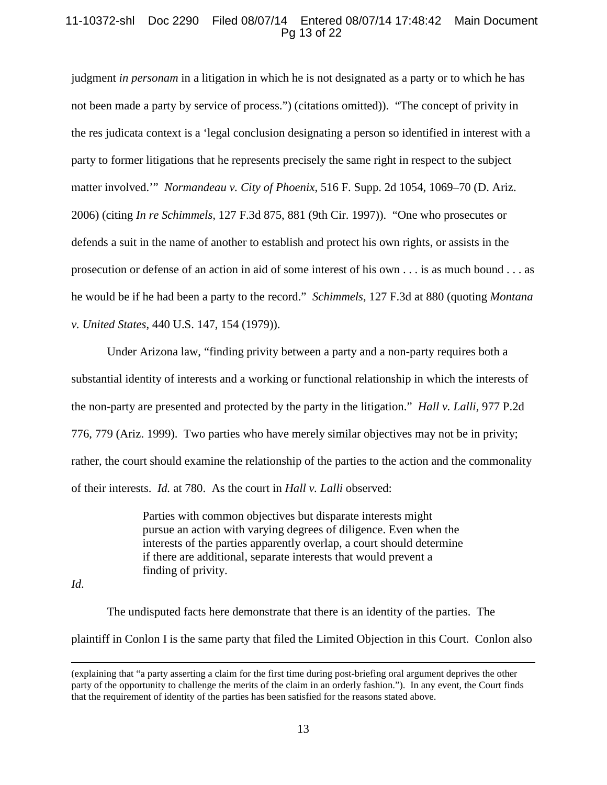# 11-10372-shl Doc 2290 Filed 08/07/14 Entered 08/07/14 17:48:42 Main Document Pg 13 of 22

judgment *in personam* in a litigation in which he is not designated as a party or to which he has not been made a party by service of process.") (citations omitted)). "The concept of privity in the res judicata context is a 'legal conclusion designating a person so identified in interest with a party to former litigations that he represents precisely the same right in respect to the subject matter involved.'" *Normandeau v. City of Phoenix*, 516 F. Supp. 2d 1054, 1069–70 (D. Ariz. 2006) (citing *In re Schimmels,* 127 F.3d 875, 881 (9th Cir. 1997)). "One who prosecutes or defends a suit in the name of another to establish and protect his own rights, or assists in the prosecution or defense of an action in aid of some interest of his own . . . is as much bound . . . as he would be if he had been a party to the record." *Schimmels*, 127 F.3d at 880 (quoting *Montana v. United States*, 440 U.S. 147, 154 (1979)).

Under Arizona law, "finding privity between a party and a non-party requires both a substantial identity of interests and a working or functional relationship in which the interests of the non-party are presented and protected by the party in the litigation." *Hall v. Lalli,* 977 P.2d 776, 779 (Ariz. 1999). Two parties who have merely similar objectives may not be in privity; rather, the court should examine the relationship of the parties to the action and the commonality of their interests. *Id.* at 780. As the court in *Hall v. Lalli* observed:

> Parties with common objectives but disparate interests might pursue an action with varying degrees of diligence. Even when the interests of the parties apparently overlap, a court should determine if there are additional, separate interests that would prevent a finding of privity.

*Id*.

l

The undisputed facts here demonstrate that there is an identity of the parties. The plaintiff in Conlon I is the same party that filed the Limited Objection in this Court. Conlon also

<sup>(</sup>explaining that "a party asserting a claim for the first time during post-briefing oral argument deprives the other party of the opportunity to challenge the merits of the claim in an orderly fashion."). In any event, the Court finds that the requirement of identity of the parties has been satisfied for the reasons stated above.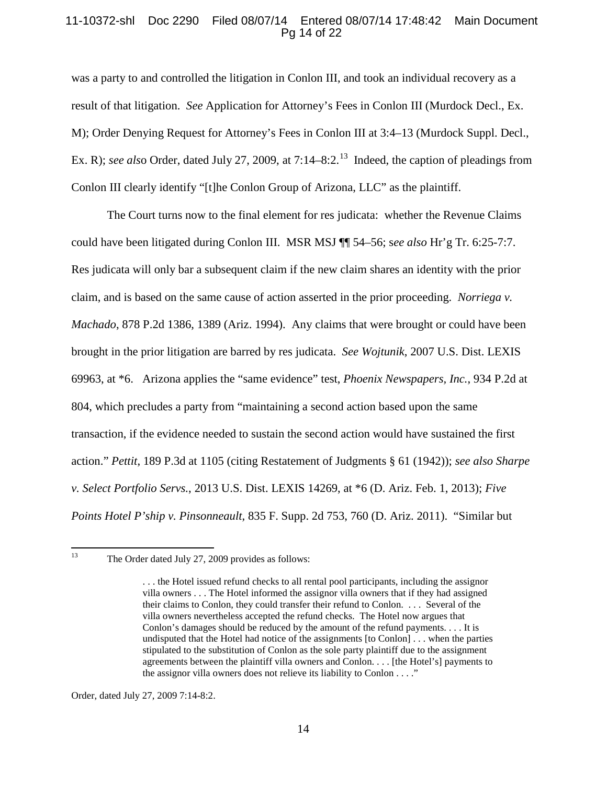## 11-10372-shl Doc 2290 Filed 08/07/14 Entered 08/07/14 17:48:42 Main Document Pg 14 of 22

was a party to and controlled the litigation in Conlon III, and took an individual recovery as a result of that litigation. *See* Application for Attorney's Fees in Conlon III (Murdock Decl., Ex. M); Order Denying Request for Attorney's Fees in Conlon III at 3:4–13 (Murdock Suppl. Decl., Ex. R); *see also* Order, dated July 27, 2009, at 7:14–8:2.<sup>[13](#page-13-0)</sup> Indeed, the caption of pleadings from Conlon III clearly identify "[t]he Conlon Group of Arizona, LLC" as the plaintiff.

The Court turns now to the final element for res judicata: whether the Revenue Claims could have been litigated during Conlon III. MSR MSJ ¶¶ 54–56; s*ee also* Hr'g Tr. 6:25-7:7. Res judicata will only bar a subsequent claim if the new claim shares an identity with the prior claim, and is based on the same cause of action asserted in the prior proceeding. *Norriega v. Machado*, 878 P.2d 1386, 1389 (Ariz. 1994). Any claims that were brought or could have been brought in the prior litigation are barred by res judicata. *See Wojtunik*, 2007 U.S. Dist. LEXIS 69963, at \*6. Arizona applies the "same evidence" test, *Phoenix Newspapers, Inc.*, 934 P.2d at 804, which precludes a party from "maintaining a second action based upon the same transaction, if the evidence needed to sustain the second action would have sustained the first action." *Pettit*, 189 P.3d at 1105 (citing Restatement of Judgments § 61 (1942)); *see also Sharpe v. Select Portfolio Servs.*, 2013 U.S. Dist. LEXIS 14269, at \*6 (D. Ariz. Feb. 1, 2013); *Five Points Hotel P'ship v. Pinsonneault*, 835 F. Supp. 2d 753, 760 (D. Ariz. 2011). "Similar but

<span id="page-13-0"></span>

Order, dated July 27, 2009 7:14-8:2.

<sup>&</sup>lt;sup>13</sup> The Order dated July 27, 2009 provides as follows:

<sup>. . .</sup> the Hotel issued refund checks to all rental pool participants, including the assignor villa owners . . . The Hotel informed the assignor villa owners that if they had assigned their claims to Conlon, they could transfer their refund to Conlon. . . . Several of the villa owners nevertheless accepted the refund checks. The Hotel now argues that Conlon's damages should be reduced by the amount of the refund payments. . . . It is undisputed that the Hotel had notice of the assignments [to Conlon] . . . when the parties stipulated to the substitution of Conlon as the sole party plaintiff due to the assignment agreements between the plaintiff villa owners and Conlon. . . . [the Hotel's] payments to the assignor villa owners does not relieve its liability to Conlon . . . ."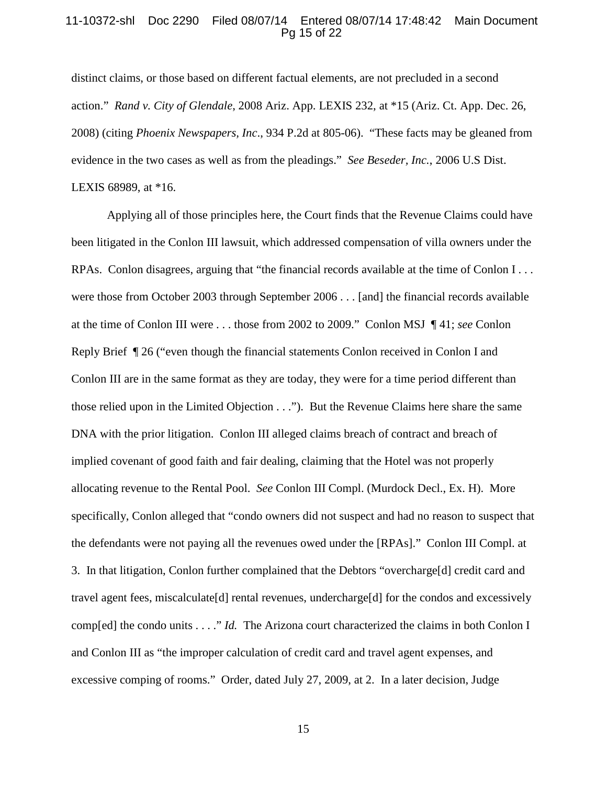#### 11-10372-shl Doc 2290 Filed 08/07/14 Entered 08/07/14 17:48:42 Main Document Pg 15 of 22

distinct claims, or those based on different factual elements, are not precluded in a second action." *Rand v. City of Glendale*, 2008 Ariz. App. LEXIS 232, at \*15 (Ariz. Ct. App. Dec. 26, 2008) (citing *Phoenix Newspapers, Inc*., 934 P.2d at 805-06). "These facts may be gleaned from evidence in the two cases as well as from the pleadings." *See Beseder, Inc.*, 2006 U.S Dist. LEXIS 68989, at \*16.

Applying all of those principles here, the Court finds that the Revenue Claims could have been litigated in the Conlon III lawsuit, which addressed compensation of villa owners under the RPAs. Conlon disagrees, arguing that "the financial records available at the time of Conlon I . . . were those from October 2003 through September 2006 . . . [and] the financial records available at the time of Conlon III were . . . those from 2002 to 2009." Conlon MSJ ¶ 41; *see* Conlon Reply Brief ¶ 26 ("even though the financial statements Conlon received in Conlon I and Conlon III are in the same format as they are today, they were for a time period different than those relied upon in the Limited Objection . . ."). But the Revenue Claims here share the same DNA with the prior litigation. Conlon III alleged claims breach of contract and breach of implied covenant of good faith and fair dealing, claiming that the Hotel was not properly allocating revenue to the Rental Pool. *See* Conlon III Compl. (Murdock Decl., Ex. H). More specifically, Conlon alleged that "condo owners did not suspect and had no reason to suspect that the defendants were not paying all the revenues owed under the [RPAs]." Conlon III Compl. at 3. In that litigation, Conlon further complained that the Debtors "overcharge[d] credit card and travel agent fees, miscalculate[d] rental revenues, undercharge[d] for the condos and excessively comp[ed] the condo units . . . ." *Id.* The Arizona court characterized the claims in both Conlon I and Conlon III as "the improper calculation of credit card and travel agent expenses, and excessive comping of rooms." Order, dated July 27, 2009, at 2. In a later decision, Judge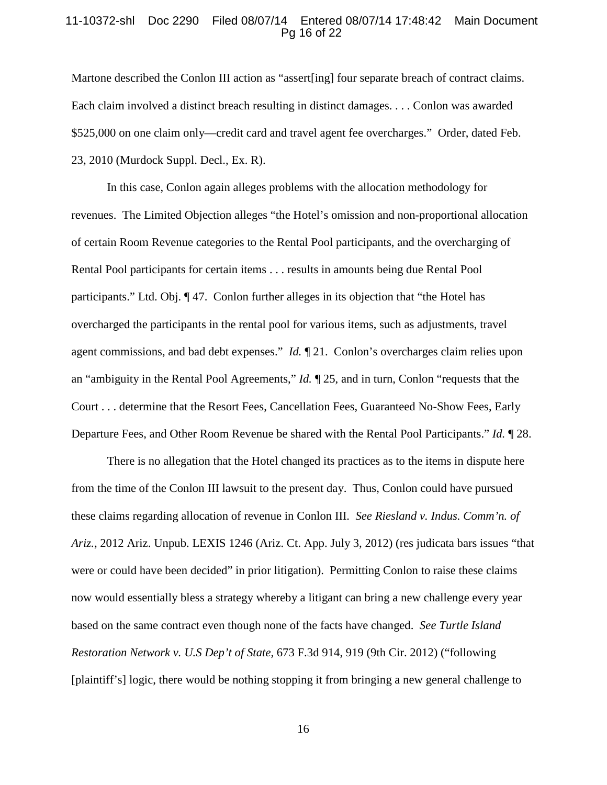#### 11-10372-shl Doc 2290 Filed 08/07/14 Entered 08/07/14 17:48:42 Main Document Pg 16 of 22

Martone described the Conlon III action as "assert[ing] four separate breach of contract claims. Each claim involved a distinct breach resulting in distinct damages. . . . Conlon was awarded \$525,000 on one claim only—credit card and travel agent fee overcharges." Order, dated Feb. 23, 2010 (Murdock Suppl. Decl., Ex. R).

In this case, Conlon again alleges problems with the allocation methodology for revenues. The Limited Objection alleges "the Hotel's omission and non-proportional allocation of certain Room Revenue categories to the Rental Pool participants, and the overcharging of Rental Pool participants for certain items . . . results in amounts being due Rental Pool participants." Ltd. Obj. ¶ 47. Conlon further alleges in its objection that "the Hotel has overcharged the participants in the rental pool for various items, such as adjustments, travel agent commissions, and bad debt expenses." *Id.* ¶ 21. Conlon's overcharges claim relies upon an "ambiguity in the Rental Pool Agreements," *Id.* ¶ 25, and in turn, Conlon "requests that the Court . . . determine that the Resort Fees, Cancellation Fees, Guaranteed No-Show Fees, Early Departure Fees, and Other Room Revenue be shared with the Rental Pool Participants." *Id.* ¶ 28.

There is no allegation that the Hotel changed its practices as to the items in dispute here from the time of the Conlon III lawsuit to the present day. Thus, Conlon could have pursued these claims regarding allocation of revenue in Conlon III. *See Riesland v. Indus. Comm'n. of Ariz.*, 2012 Ariz. Unpub. LEXIS 1246 (Ariz. Ct. App. July 3, 2012) (res judicata bars issues "that were or could have been decided" in prior litigation). Permitting Conlon to raise these claims now would essentially bless a strategy whereby a litigant can bring a new challenge every year based on the same contract even though none of the facts have changed. *See Turtle Island Restoration Network v. U.S Dep't of State,* 673 F.3d 914, 919 (9th Cir. 2012) ("following [plaintiff's] logic, there would be nothing stopping it from bringing a new general challenge to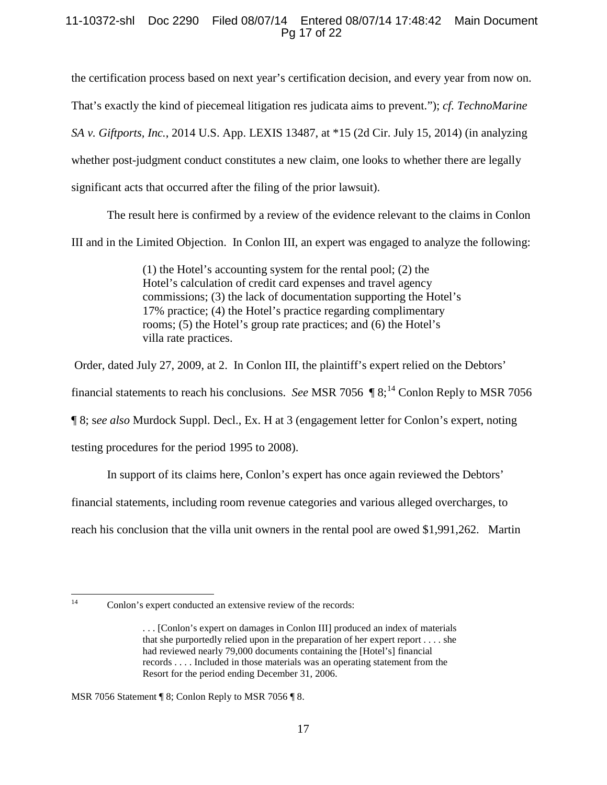# 11-10372-shl Doc 2290 Filed 08/07/14 Entered 08/07/14 17:48:42 Main Document Pg 17 of 22

the certification process based on next year's certification decision, and every year from now on.

That's exactly the kind of piecemeal litigation res judicata aims to prevent."); *cf. TechnoMarine* 

*SA v. Giftports, Inc.*, 2014 U.S. App. LEXIS 13487, at \*15 (2d Cir. July 15, 2014) (in analyzing

whether post-judgment conduct constitutes a new claim, one looks to whether there are legally

significant acts that occurred after the filing of the prior lawsuit).

The result here is confirmed by a review of the evidence relevant to the claims in Conlon

III and in the Limited Objection. In Conlon III, an expert was engaged to analyze the following:

(1) the Hotel's accounting system for the rental pool; (2) the Hotel's calculation of credit card expenses and travel agency commissions; (3) the lack of documentation supporting the Hotel's 17% practice; (4) the Hotel's practice regarding complimentary rooms; (5) the Hotel's group rate practices; and (6) the Hotel's villa rate practices.

Order, dated July 27, 2009, at 2. In Conlon III, the plaintiff's expert relied on the Debtors'

financial statements to reach his conclusions. *See* MSR 7056 ¶ 8; [14](#page-16-0) Conlon Reply to MSR 7056

¶ 8; s*ee also* Murdock Suppl. Decl., Ex. H at 3 (engagement letter for Conlon's expert, noting

testing procedures for the period 1995 to 2008).

In support of its claims here, Conlon's expert has once again reviewed the Debtors'

financial statements, including room revenue categories and various alleged overcharges, to

reach his conclusion that the villa unit owners in the rental pool are owed \$1,991,262. Martin

<span id="page-16-0"></span>

MSR 7056 Statement ¶ 8; Conlon Reply to MSR 7056 ¶ 8.

<sup>&</sup>lt;sup>14</sup> Conlon's expert conducted an extensive review of the records:

<sup>. . . [</sup>Conlon's expert on damages in Conlon III] produced an index of materials that she purportedly relied upon in the preparation of her expert report . . . . she had reviewed nearly 79,000 documents containing the [Hotel's] financial records . . . . Included in those materials was an operating statement from the Resort for the period ending December 31, 2006.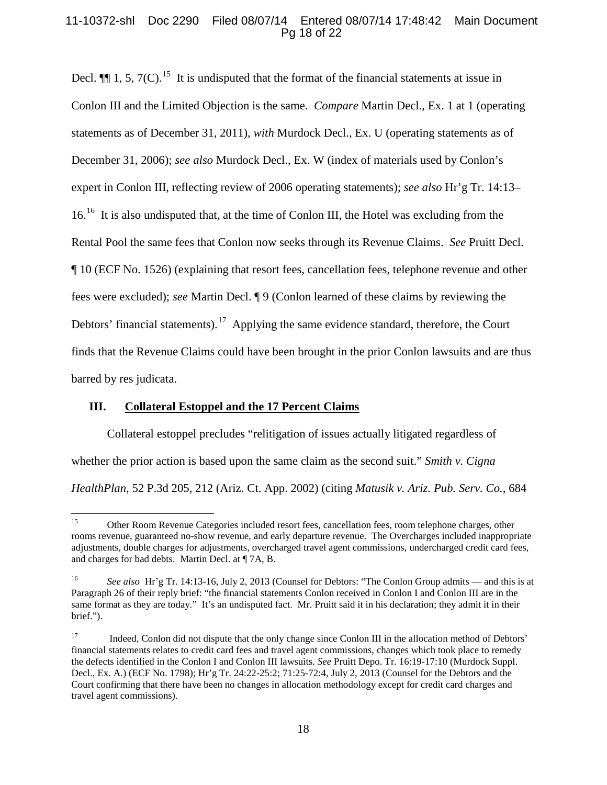# 11-10372-shl Doc 2290 Filed 08/07/14 Entered 08/07/14 17:48:42 Main Document Pg 18 of 22

Decl.  $\P$  1, 5, 7(C), <sup>[15](#page-17-0)</sup> It is undisputed that the format of the financial statements at issue in Conlon III and the Limited Objection is the same. *Compare* Martin Decl., Ex. 1 at 1 (operating statements as of December 31, 2011), *with* Murdock Decl., Ex. U (operating statements as of December 31, 2006); *see also* Murdock Decl., Ex. W (index of materials used by Conlon's expert in Conlon III, reflecting review of 2006 operating statements); *see also* Hr'g Tr. 14:13– 16.<sup>16</sup> It is also undisputed that, at the time of Conlon III, the Hotel was excluding from the Rental Pool the same fees that Conlon now seeks through its Revenue Claims. *See* Pruitt Decl. ¶ 10 (ECF No. 1526) (explaining that resort fees, cancellation fees, telephone revenue and other fees were excluded); *see* Martin Decl. ¶ 9 (Conlon learned of these claims by reviewing the Debtors' financial statements).<sup>[17](#page-17-2)</sup> Applying the same evidence standard, therefore, the Court finds that the Revenue Claims could have been brought in the prior Conlon lawsuits and are thus barred by res judicata.

### **III. Collateral Estoppel and the 17 Percent Claims**

Collateral estoppel precludes "relitigation of issues actually litigated regardless of whether the prior action is based upon the same claim as the second suit." *Smith v. Cigna HealthPlan*, 52 P.3d 205, 212 (Ariz. Ct. App. 2002) (citing *Matusik v. Ariz. Pub. Serv. Co.*, 684

<span id="page-17-0"></span><sup>&</sup>lt;sup>15</sup> Other Room Revenue Categories included resort fees, cancellation fees, room telephone charges, other rooms revenue, guaranteed no-show revenue, and early departure revenue. The Overcharges included inappropriate adjustments, double charges for adjustments, overcharged travel agent commissions, undercharged credit card fees, and charges for bad debts. Martin Decl. at ¶ 7A, B.

<span id="page-17-1"></span><sup>16</sup> *See also* Hr'g Tr. 14:13-16, July 2, 2013 (Counsel for Debtors: "The Conlon Group admits — and this is at Paragraph 26 of their reply brief: "the financial statements Conlon received in Conlon I and Conlon III are in the same format as they are today." It's an undisputed fact. Mr. Pruitt said it in his declaration; they admit it in their brief.").

<span id="page-17-2"></span><sup>&</sup>lt;sup>17</sup> Indeed, Conlon did not dispute that the only change since Conlon III in the allocation method of Debtors' financial statements relates to credit card fees and travel agent commissions, changes which took place to remedy the defects identified in the Conlon I and Conlon III lawsuits. *See* Pruitt Depo. Tr. 16:19-17:10 (Murdock Suppl. Decl., Ex. A.) (ECF No. 1798); Hr'g Tr. 24:22-25:2; 71:25-72:4, July 2, 2013 (Counsel for the Debtors and the Court confirming that there have been no changes in allocation methodology except for credit card charges and travel agent commissions).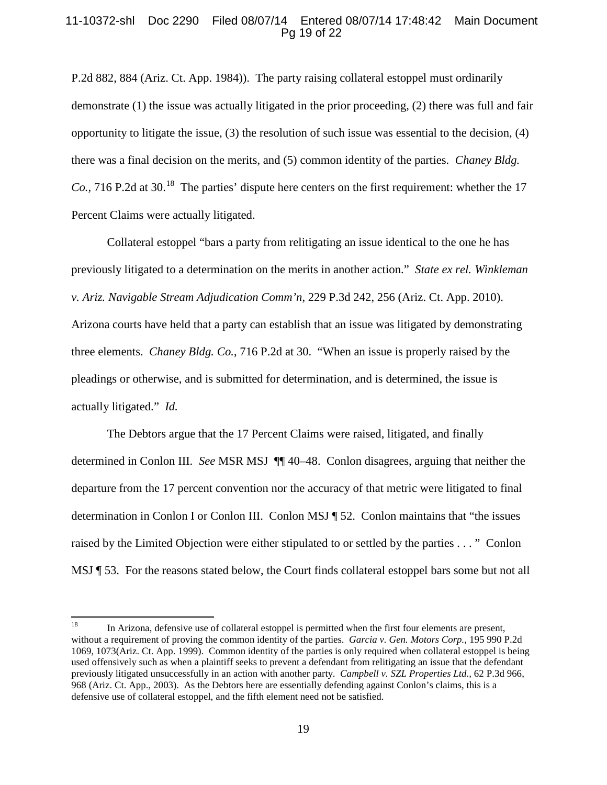## 11-10372-shl Doc 2290 Filed 08/07/14 Entered 08/07/14 17:48:42 Main Document Pg 19 of 22

P.2d 882, 884 (Ariz. Ct. App. 1984)). The party raising collateral estoppel must ordinarily demonstrate (1) the issue was actually litigated in the prior proceeding, (2) there was full and fair opportunity to litigate the issue,  $(3)$  the resolution of such issue was essential to the decision,  $(4)$ there was a final decision on the merits, and (5) common identity of the parties. *Chaney Bldg. Co.*, 716 P.2d at 30.<sup>[18](#page-18-0)</sup> The parties' dispute here centers on the first requirement: whether the 17 Percent Claims were actually litigated.

Collateral estoppel "bars a party from relitigating an issue identical to the one he has previously litigated to a determination on the merits in another action." *State ex rel. Winkleman v. Ariz. Navigable Stream Adjudication Comm'n*, 229 P.3d 242, 256 (Ariz. Ct. App. 2010). Arizona courts have held that a party can establish that an issue was litigated by demonstrating three elements. *Chaney Bldg. Co.*, 716 P.2d at 30. "When an issue is properly raised by the pleadings or otherwise, and is submitted for determination, and is determined, the issue is actually litigated." *Id.*

The Debtors argue that the 17 Percent Claims were raised, litigated, and finally determined in Conlon III. *See* MSR MSJ ¶¶ 40–48. Conlon disagrees, arguing that neither the departure from the 17 percent convention nor the accuracy of that metric were litigated to final determination in Conlon I or Conlon III. Conlon MSJ ¶ 52. Conlon maintains that "the issues raised by the Limited Objection were either stipulated to or settled by the parties . . . " Conlon MSJ ¶ 53. For the reasons stated below, the Court finds collateral estoppel bars some but not all

<span id="page-18-0"></span><sup>&</sup>lt;sup>18</sup> In Arizona, defensive use of collateral estoppel is permitted when the first four elements are present, without a requirement of proving the common identity of the parties. *Garcia v. Gen. Motors Corp.,* 195 990 P.2d 1069, 1073(Ariz. Ct. App. 1999). Common identity of the parties is only required when collateral estoppel is being used offensively such as when a plaintiff seeks to prevent a defendant from relitigating an issue that the defendant previously litigated unsuccessfully in an action with another party. *Campbell v. SZL Properties Ltd.,* 62 P.3d 966, 968 (Ariz. Ct. App., 2003). As the Debtors here are essentially defending against Conlon's claims, this is a defensive use of collateral estoppel, and the fifth element need not be satisfied.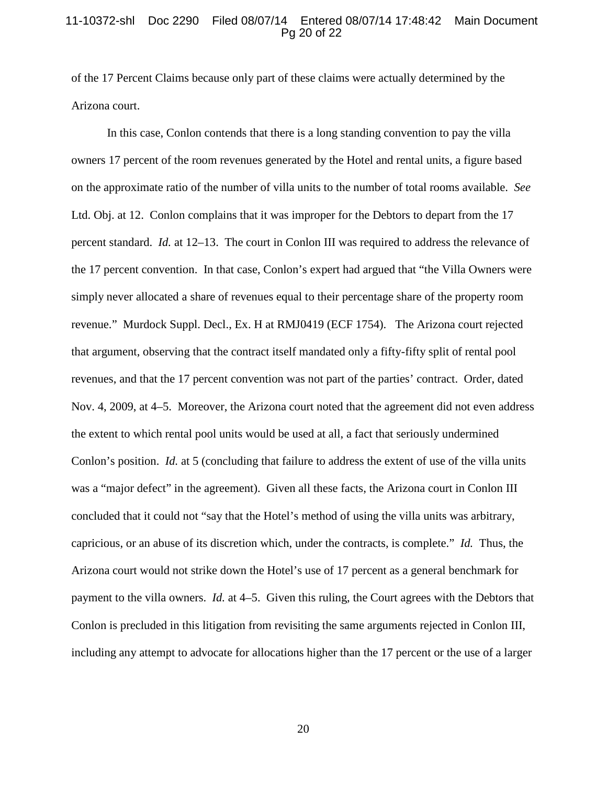#### 11-10372-shl Doc 2290 Filed 08/07/14 Entered 08/07/14 17:48:42 Main Document Pg 20 of 22

of the 17 Percent Claims because only part of these claims were actually determined by the Arizona court.

In this case, Conlon contends that there is a long standing convention to pay the villa owners 17 percent of the room revenues generated by the Hotel and rental units, a figure based on the approximate ratio of the number of villa units to the number of total rooms available. *See*  Ltd. Obj. at 12. Conlon complains that it was improper for the Debtors to depart from the 17 percent standard. *Id.* at 12–13. The court in Conlon III was required to address the relevance of the 17 percent convention. In that case, Conlon's expert had argued that "the Villa Owners were simply never allocated a share of revenues equal to their percentage share of the property room revenue." Murdock Suppl. Decl., Ex. H at RMJ0419 (ECF 1754). The Arizona court rejected that argument, observing that the contract itself mandated only a fifty-fifty split of rental pool revenues, and that the 17 percent convention was not part of the parties' contract. Order, dated Nov. 4, 2009, at 4–5. Moreover, the Arizona court noted that the agreement did not even address the extent to which rental pool units would be used at all, a fact that seriously undermined Conlon's position. *Id.* at 5 (concluding that failure to address the extent of use of the villa units was a "major defect" in the agreement). Given all these facts, the Arizona court in Conlon III concluded that it could not "say that the Hotel's method of using the villa units was arbitrary, capricious, or an abuse of its discretion which, under the contracts, is complete." *Id.* Thus, the Arizona court would not strike down the Hotel's use of 17 percent as a general benchmark for payment to the villa owners. *Id.* at 4–5. Given this ruling, the Court agrees with the Debtors that Conlon is precluded in this litigation from revisiting the same arguments rejected in Conlon III, including any attempt to advocate for allocations higher than the 17 percent or the use of a larger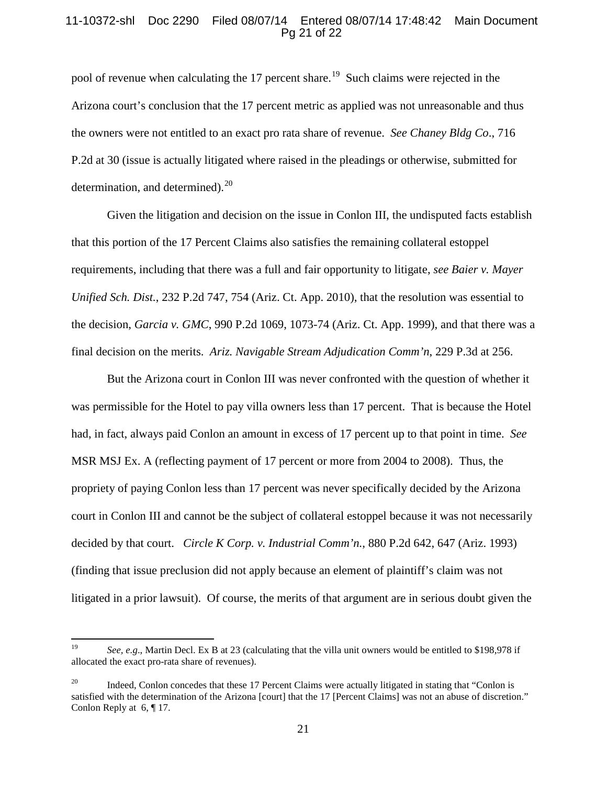# 11-10372-shl Doc 2290 Filed 08/07/14 Entered 08/07/14 17:48:42 Main Document Pg 21 of 22

pool of revenue when calculating the 17 percent share.<sup>19</sup> Such claims were rejected in the Arizona court's conclusion that the 17 percent metric as applied was not unreasonable and thus the owners were not entitled to an exact pro rata share of revenue. *See Chaney Bldg Co*., 716 P.2d at 30 (issue is actually litigated where raised in the pleadings or otherwise, submitted for determination, and determined). $^{20}$ 

Given the litigation and decision on the issue in Conlon III, the undisputed facts establish that this portion of the 17 Percent Claims also satisfies the remaining collateral estoppel requirements, including that there was a full and fair opportunity to litigate, *see Baier v. Mayer Unified Sch. Dist.*, 232 P.2d 747, 754 (Ariz. Ct. App. 2010), that the resolution was essential to the decision, *Garcia v. GMC*, 990 P.2d 1069, 1073-74 (Ariz. Ct. App. 1999), and that there was a final decision on the merits. *Ariz. Navigable Stream Adjudication Comm'n*, 229 P.3d at 256.

But the Arizona court in Conlon III was never confronted with the question of whether it was permissible for the Hotel to pay villa owners less than 17 percent. That is because the Hotel had, in fact, always paid Conlon an amount in excess of 17 percent up to that point in time. *See*  MSR MSJ Ex. A (reflecting payment of 17 percent or more from 2004 to 2008). Thus, the propriety of paying Conlon less than 17 percent was never specifically decided by the Arizona court in Conlon III and cannot be the subject of collateral estoppel because it was not necessarily decided by that court. *Circle K Corp. v. Industrial Comm'n.*, 880 P.2d 642, 647 (Ariz. 1993) (finding that issue preclusion did not apply because an element of plaintiff's claim was not litigated in a prior lawsuit). Of course, the merits of that argument are in serious doubt given the

<span id="page-20-0"></span><sup>&</sup>lt;sup>19</sup> *See, e.g.*, Martin Decl. Ex B at 23 (calculating that the villa unit owners would be entitled to \$198,978 if allocated the exact pro-rata share of revenues).

<span id="page-20-1"></span><sup>&</sup>lt;sup>20</sup> Indeed, Conlon concedes that these 17 Percent Claims were actually litigated in stating that "Conlon is satisfied with the determination of the Arizona [court] that the 17 [Percent Claims] was not an abuse of discretion." Conlon Reply at 6, ¶ 17.